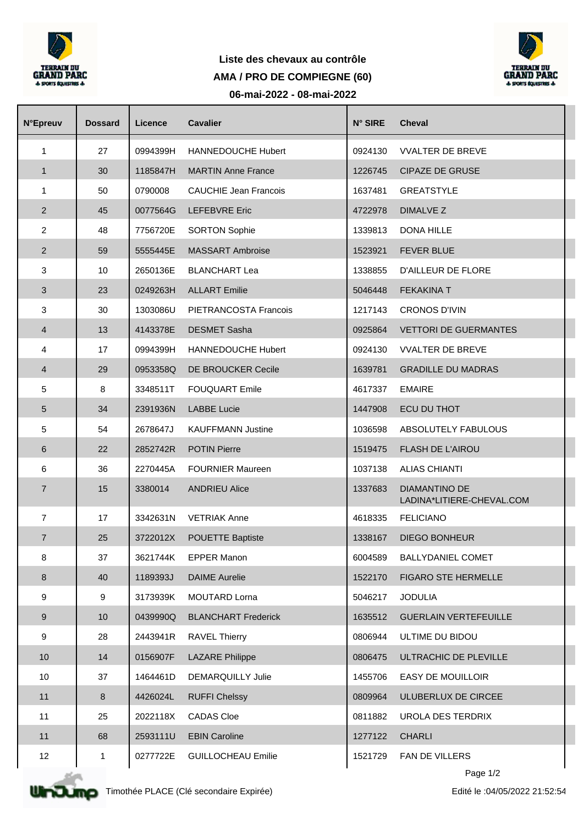

## **Liste des chevaux au contrôle 06-mai-2022 - 08-mai-2022 AMA / PRO DE COMPIEGNE (60)**



| <b>N°Epreuv</b>  | <b>Dossard</b> | Licence  | <b>Cavalier</b>              | N° SIRE | <b>Cheval</b>                              |  |
|------------------|----------------|----------|------------------------------|---------|--------------------------------------------|--|
| $\mathbf{1}$     | 27             | 0994399H | <b>HANNEDOUCHE Hubert</b>    | 0924130 | <b>VVALTER DE BREVE</b>                    |  |
| $\mathbf{1}$     | 30             | 1185847H | <b>MARTIN Anne France</b>    | 1226745 | <b>CIPAZE DE GRUSE</b>                     |  |
| $\mathbf{1}$     | 50             | 0790008  | <b>CAUCHIE Jean Francois</b> | 1637481 | <b>GREATSTYLE</b>                          |  |
| $\overline{2}$   | 45             | 0077564G | LEFEBVRE Eric                | 4722978 | DIMALVE Z                                  |  |
| $\overline{2}$   | 48             | 7756720E | <b>SORTON Sophie</b>         | 1339813 | DONA HILLE                                 |  |
| $\overline{2}$   | 59             | 5555445E | <b>MASSART Ambroise</b>      | 1523921 | <b>FEVER BLUE</b>                          |  |
| 3                | 10             | 2650136E | <b>BLANCHART Lea</b>         | 1338855 | D'AILLEUR DE FLORE                         |  |
| $\sqrt{3}$       | 23             | 0249263H | <b>ALLART Emilie</b>         | 5046448 | <b>FEKAKINA T</b>                          |  |
| 3                | 30             | 1303086U | PIETRANCOSTA Francois        | 1217143 | <b>CRONOS D'IVIN</b>                       |  |
| $\overline{4}$   | 13             | 4143378E | <b>DESMET Sasha</b>          | 0925864 | <b>VETTORI DE GUERMANTES</b>               |  |
| 4                | 17             | 0994399H | <b>HANNEDOUCHE Hubert</b>    | 0924130 | <b>VVALTER DE BREVE</b>                    |  |
| $\overline{4}$   | 29             | 0953358Q | DE BROUCKER Cecile           | 1639781 | <b>GRADILLE DU MADRAS</b>                  |  |
| 5                | 8              | 3348511T | <b>FOUQUART Emile</b>        | 4617337 | <b>EMAIRE</b>                              |  |
| $\sqrt{5}$       | 34             | 2391936N | <b>LABBE Lucie</b>           | 1447908 | ECU DU THOT                                |  |
| 5                | 54             | 2678647J | <b>KAUFFMANN Justine</b>     | 1036598 | ABSOLUTELY FABULOUS                        |  |
| 6                | 22             | 2852742R | <b>POTIN Pierre</b>          | 1519475 | <b>FLASH DE L'AIROU</b>                    |  |
| 6                | 36             | 2270445A | <b>FOURNIER Maureen</b>      | 1037138 | <b>ALIAS CHIANTI</b>                       |  |
| $\overline{7}$   | 15             | 3380014  | <b>ANDRIEU Alice</b>         | 1337683 | DIAMANTINO DE<br>LADINA*LITIERE-CHEVAL.COM |  |
| $\overline{7}$   | 17             | 3342631N | <b>VETRIAK Anne</b>          | 4618335 | <b>FELICIANO</b>                           |  |
| $\overline{7}$   | 25             | 3722012X | <b>POUETTE Baptiste</b>      | 1338167 | <b>DIEGO BONHEUR</b>                       |  |
| 8                | 37             | 3621744K | <b>EPPER Manon</b>           | 6004589 | BALLYDANIEL COMET                          |  |
| $\,8\,$          | 40             | 1189393J | <b>DAIME</b> Aurelie         | 1522170 | FIGARO STE HERMELLE                        |  |
| 9                | 9              | 3173939K | <b>MOUTARD Lorna</b>         | 5046217 | <b>JODULIA</b>                             |  |
| $\boldsymbol{9}$ | 10             | 0439990Q | <b>BLANCHART Frederick</b>   | 1635512 | <b>GUERLAIN VERTEFEUILLE</b>               |  |
| 9                | 28             | 2443941R | <b>RAVEL Thierry</b>         | 0806944 | ULTIME DU BIDOU                            |  |
| 10               | 14             | 0156907F | <b>LAZARE Philippe</b>       | 0806475 | ULTRACHIC DE PLEVILLE                      |  |
| 10               | 37             | 1464461D | <b>DEMARQUILLY Julie</b>     | 1455706 | EASY DE MOUILLOIR                          |  |
| 11               | 8              | 4426024L | <b>RUFFI Chelssy</b>         | 0809964 | ULUBERLUX DE CIRCEE                        |  |
| 11               | 25             | 2022118X | <b>CADAS Cloe</b>            | 0811882 | UROLA DES TERDRIX                          |  |
| 11               | 68             | 2593111U | <b>EBIN Caroline</b>         | 1277122 | <b>CHARLI</b>                              |  |
| 12               | 1              | 0277722E | <b>GUILLOCHEAU Emilie</b>    | 1521729 | FAN DE VILLERS                             |  |
|                  |                |          |                              |         |                                            |  |



Page 1/2

Edité le :04/05/2022 21:52:54